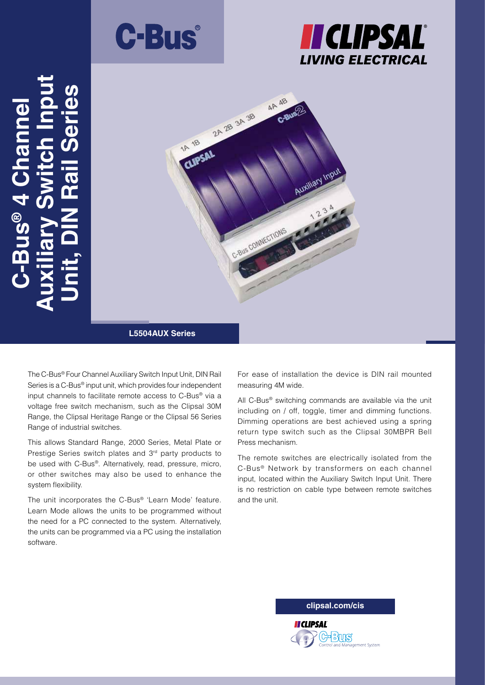





# **L5504AUX Series**

The C-Bus® Four Channel Auxiliary Switch Input Unit, DIN Rail Series is a C-Bus® input unit, which provides four independent input channels to facilitate remote access to C-Bus® via a voltage free switch mechanism, such as the Clipsal 30M Range, the Clipsal Heritage Range or the Clipsal 56 Series Range of industrial switches.

This allows Standard Range, 2000 Series, Metal Plate or Prestige Series switch plates and 3<sup>rd</sup> party products to be used with C-Bus®. Alternatively, read, pressure, micro, or other switches may also be used to enhance the system flexibility.

The unit incorporates the C-Bus® 'Learn Mode' feature. Learn Mode allows the units to be programmed without the need for a PC connected to the system. Alternatively, the units can be programmed via a PC using the installation software.

For ease of installation the device is DIN rail mounted measuring 4M wide.

All C-Bus® switching commands are available via the unit including on / off, toggle, timer and dimming functions. Dimming operations are best achieved using a spring return type switch such as the Clipsal 30MBPR Bell Press mechanism.

The remote switches are electrically isolated from the C-Bus® Network by transformers on each channel input, located within the Auxiliary Switch Input Unit. There is no restriction on cable type between remote switches and the unit.

**clipsal.com/cis**